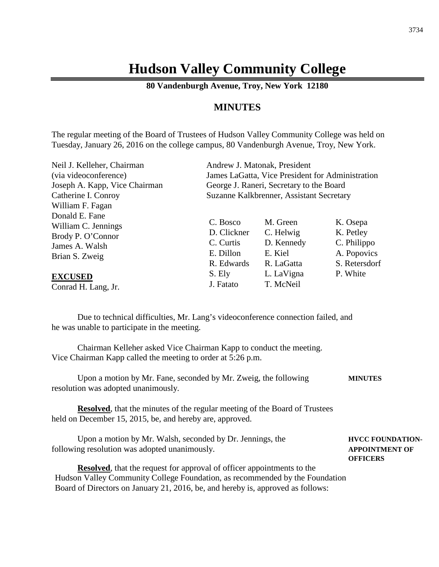# **Hudson Valley Community College**

**80 Vandenburgh Avenue, Troy, New York 12180**

# **MINUTES**

The regular meeting of the Board of Trustees of Hudson Valley Community College was held on Tuesday, January 26, 2016 on the college campus, 80 Vandenburgh Avenue, Troy, New York.

| Neil J. Kelleher, Chairman                                                                     |                                                                 | Andrew J. Matonak, President                                 |                                                                      |
|------------------------------------------------------------------------------------------------|-----------------------------------------------------------------|--------------------------------------------------------------|----------------------------------------------------------------------|
| (via videoconference)                                                                          | James LaGatta, Vice President for Administration                |                                                              |                                                                      |
| Joseph A. Kapp, Vice Chairman                                                                  | George J. Raneri, Secretary to the Board                        |                                                              |                                                                      |
| Catherine I. Conroy                                                                            | Suzanne Kalkbrenner, Assistant Secretary                        |                                                              |                                                                      |
| William F. Fagan                                                                               |                                                                 |                                                              |                                                                      |
| Donald E. Fane<br>William C. Jennings<br>Brody P. O'Connor<br>James A. Walsh<br>Brian S. Zweig | C. Bosco<br>D. Clickner<br>C. Curtis<br>E. Dillon<br>R. Edwards | M. Green<br>C. Helwig<br>D. Kennedy<br>E. Kiel<br>R. LaGatta | K. Osepa<br>K. Petley<br>C. Philippo<br>A. Popovics<br>S. Retersdorf |
| <b>EXCUSED</b><br>Conrad H. Lang, Jr.                                                          | S. Ely<br>J. Fatato                                             | L. LaVigna<br>T. McNeil                                      | P. White                                                             |

Due to technical difficulties, Mr. Lang's videoconference connection failed, and he was unable to participate in the meeting.

Chairman Kelleher asked Vice Chairman Kapp to conduct the meeting. Vice Chairman Kapp called the meeting to order at 5:26 p.m.

Upon a motion by Mr. Fane, seconded by Mr. Zweig, the following **MINUTES** resolution was adopted unanimously.

**Resolved**, that the minutes of the regular meeting of the Board of Trustees held on December 15, 2015, be, and hereby are, approved.

Upon a motion by Mr. Walsh, seconded by Dr. Jennings, the **HVCC FOUNDATION**following resolution was adopted unanimously. **APPOINTMENT OF**

**OFFICERS**

**Resolved**, that the request for approval of officer appointments to the Hudson Valley Community College Foundation, as recommended by the Foundation Board of Directors on January 21, 2016, be, and hereby is, approved as follows: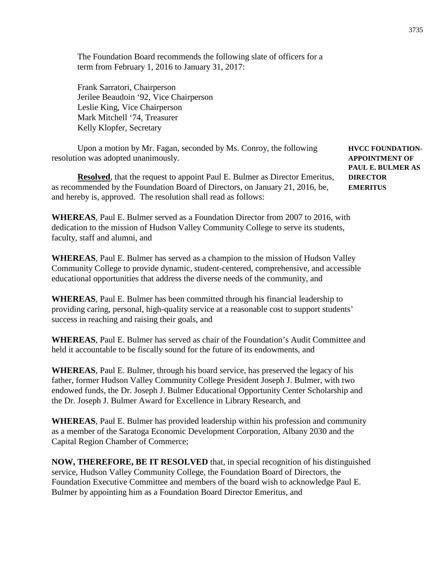The Foundation Board recommends the following slate of officers for a term from February 1, 2016 to January 31, 2017:

Frank Sarratori, Chairperson Jerilee Beaudoin '92, Vice Chairperson Leslie King, Vice Chairperson Mark Mitchell '74, Treasurer Kelly Klopfer, Secretary

Upon a motion by Mr. Fagan, seconded by Ms. Conroy, the following **HVCC FOUNDATION**resolution was adopted unanimously. **APPOINTMENT OF**

**Resolved**, that the request to appoint Paul E. Bulmer as Director Emeritus, DIRECTOR as recommended by the Foundation Board of Directors, on January 21, 2016, be, **EMERITUS** and hereby is, approved. The resolution shall read as follows:

**WHEREAS**, Paul E. Bulmer served as a Foundation Director from 2007 to 2016, with dedication to the mission of Hudson Valley Community College to serve its students, faculty, staff and alumni, and

**WHEREAS**, Paul E. Bulmer has served as a champion to the mission of Hudson Valley Community College to provide dynamic, student-centered, comprehensive, and accessible educational opportunities that address the diverse needs of the community, and

**WHEREAS**, Paul E. Bulmer has been committed through his financial leadership to providing caring, personal, high-quality service at a reasonable cost to support students' success in reaching and raising their goals, and

**WHEREAS**, Paul E. Bulmer has served as chair of the Foundation's Audit Committee and held it accountable to be fiscally sound for the future of its endowments, and

**WHEREAS**, Paul E. Bulmer, through his board service, has preserved the legacy of his father, former Hudson Valley Community College President Joseph J. Bulmer, with two endowed funds, the Dr. Joseph J. Bulmer Educational Opportunity Center Scholarship and the Dr. Joseph J. Bulmer Award for Excellence in Library Research, and

**WHEREAS**, Paul E. Bulmer has provided leadership within his profession and community as a member of the Saratoga Economic Development Corporation, Albany 2030 and the Capital Region Chamber of Commerce;

**NOW, THEREFORE, BE IT RESOLVED** that, in special recognition of his distinguished service, Hudson Valley Community College, the Foundation Board of Directors, the Foundation Executive Committee and members of the board wish to acknowledge Paul E. Bulmer by appointing him as a Foundation Board Director Emeritus, and

**PAUL E. BULMER AS**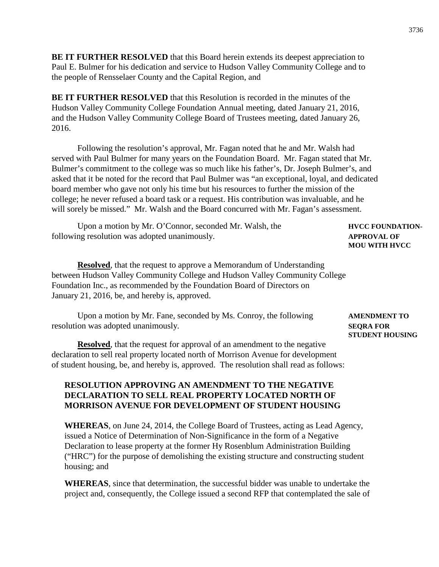**BE IT FURTHER RESOLVED** that this Board herein extends its deepest appreciation to Paul E. Bulmer for his dedication and service to Hudson Valley Community College and to the people of Rensselaer County and the Capital Region, and

**BE IT FURTHER RESOLVED** that this Resolution is recorded in the minutes of the Hudson Valley Community College Foundation Annual meeting, dated January 21, 2016, and the Hudson Valley Community College Board of Trustees meeting, dated January 26, 2016.

Following the resolution's approval, Mr. Fagan noted that he and Mr. Walsh had served with Paul Bulmer for many years on the Foundation Board. Mr. Fagan stated that Mr. Bulmer's commitment to the college was so much like his father's, Dr. Joseph Bulmer's, and asked that it be noted for the record that Paul Bulmer was "an exceptional, loyal, and dedicated board member who gave not only his time but his resources to further the mission of the college; he never refused a board task or a request. His contribution was invaluable, and he will sorely be missed." Mr. Walsh and the Board concurred with Mr. Fagan's assessment.

| Upon a motion by Mr. O'Connor, seconded Mr. Walsh, the | <b>HVCC FOUNDATION-</b> |
|--------------------------------------------------------|-------------------------|
| following resolution was adopted unanimously.          | <b>APPROVAL OF</b>      |

**Resolved**, that the request to approve a Memorandum of Understanding between Hudson Valley Community College and Hudson Valley Community College Foundation Inc., as recommended by the Foundation Board of Directors on January 21, 2016, be, and hereby is, approved.

Upon a motion by Mr. Fane, seconded by Ms. Conroy, the following **AMENDMENT TO** resolution was adopted unanimously. **SEQRA FOR**

**Resolved**, that the request for approval of an amendment to the negative declaration to sell real property located north of Morrison Avenue for development of student housing, be, and hereby is, approved. The resolution shall read as follows:

# **RESOLUTION APPROVING AN AMENDMENT TO THE NEGATIVE DECLARATION TO SELL REAL PROPERTY LOCATED NORTH OF MORRISON AVENUE FOR DEVELOPMENT OF STUDENT HOUSING**

**WHEREAS**, on June 24, 2014, the College Board of Trustees, acting as Lead Agency, issued a Notice of Determination of Non-Significance in the form of a Negative Declaration to lease property at the former Hy Rosenblum Administration Building ("HRC") for the purpose of demolishing the existing structure and constructing student housing; and

**WHEREAS**, since that determination, the successful bidder was unable to undertake the project and, consequently, the College issued a second RFP that contemplated the sale of

# **STUDENT HOUSING**

**MOU WITH HVCC**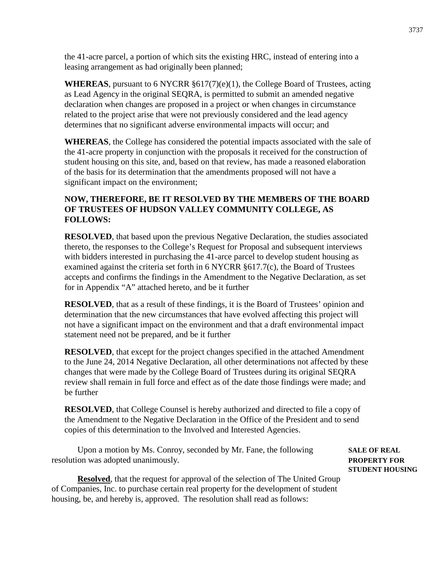the 41-acre parcel, a portion of which sits the existing HRC, instead of entering into a leasing arrangement as had originally been planned;

**WHEREAS**, pursuant to 6 NYCRR  $\S617(7)(e)(1)$ , the College Board of Trustees, acting as Lead Agency in the original SEQRA, is permitted to submit an amended negative declaration when changes are proposed in a project or when changes in circumstance related to the project arise that were not previously considered and the lead agency determines that no significant adverse environmental impacts will occur; and

**WHEREAS**, the College has considered the potential impacts associated with the sale of the 41-acre property in conjunction with the proposals it received for the construction of student housing on this site, and, based on that review, has made a reasoned elaboration of the basis for its determination that the amendments proposed will not have a significant impact on the environment;

# **NOW, THEREFORE, BE IT RESOLVED BY THE MEMBERS OF THE BOARD OF TRUSTEES OF HUDSON VALLEY COMMUNITY COLLEGE, AS FOLLOWS:**

**RESOLVED**, that based upon the previous Negative Declaration, the studies associated thereto, the responses to the College's Request for Proposal and subsequent interviews with bidders interested in purchasing the 41-arce parcel to develop student housing as examined against the criteria set forth in 6 NYCRR §617.7(c), the Board of Trustees accepts and confirms the findings in the Amendment to the Negative Declaration, as set for in Appendix "A" attached hereto, and be it further

**RESOLVED**, that as a result of these findings, it is the Board of Trustees' opinion and determination that the new circumstances that have evolved affecting this project will not have a significant impact on the environment and that a draft environmental impact statement need not be prepared, and be it further

**RESOLVED**, that except for the project changes specified in the attached Amendment to the June 24, 2014 Negative Declaration, all other determinations not affected by these changes that were made by the College Board of Trustees during its original SEQRA review shall remain in full force and effect as of the date those findings were made; and be further

**RESOLVED**, that College Counsel is hereby authorized and directed to file a copy of the Amendment to the Negative Declaration in the Office of the President and to send copies of this determination to the Involved and Interested Agencies.

Upon a motion by Ms. Conroy, seconded by Mr. Fane, the following **SALE OF REAL** resolution was adopted unanimously. **PROPERTY FOR**

**STUDENT HOUSING**

**Resolved**, that the request for approval of the selection of The United Group of Companies, Inc. to purchase certain real property for the development of student housing, be, and hereby is, approved. The resolution shall read as follows: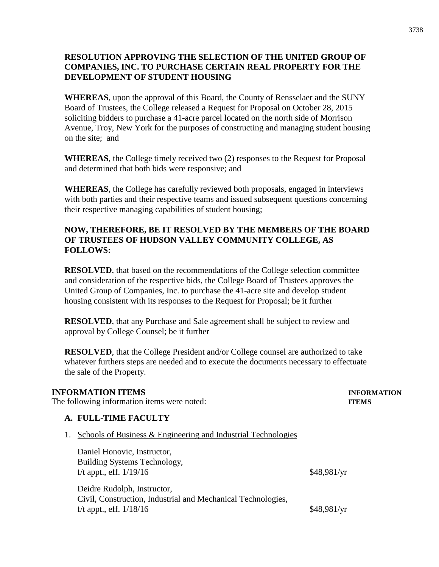# **RESOLUTION APPROVING THE SELECTION OF THE UNITED GROUP OF COMPANIES, INC. TO PURCHASE CERTAIN REAL PROPERTY FOR THE DEVELOPMENT OF STUDENT HOUSING**

**WHEREAS**, upon the approval of this Board, the County of Rensselaer and the SUNY Board of Trustees, the College released a Request for Proposal on October 28, 2015 soliciting bidders to purchase a 41-acre parcel located on the north side of Morrison Avenue, Troy, New York for the purposes of constructing and managing student housing on the site; and

**WHEREAS**, the College timely received two (2) responses to the Request for Proposal and determined that both bids were responsive; and

**WHEREAS**, the College has carefully reviewed both proposals, engaged in interviews with both parties and their respective teams and issued subsequent questions concerning their respective managing capabilities of student housing;

# **NOW, THEREFORE, BE IT RESOLVED BY THE MEMBERS OF THE BOARD OF TRUSTEES OF HUDSON VALLEY COMMUNITY COLLEGE, AS FOLLOWS:**

**RESOLVED**, that based on the recommendations of the College selection committee and consideration of the respective bids, the College Board of Trustees approves the United Group of Companies, Inc. to purchase the 41-acre site and develop student housing consistent with its responses to the Request for Proposal; be it further

**RESOLVED**, that any Purchase and Sale agreement shall be subject to review and approval by College Counsel; be it further

**RESOLVED**, that the College President and/or College counsel are authorized to take whatever furthers steps are needed and to execute the documents necessary to effectuate the sale of the Property.

# **INFORMATION ITEMS INFORMATION**

The following information items were noted: **ITEMS** 

# **A. FULL-TIME FACULTY**

1. Schools of Business & Engineering and Industrial Technologies

Daniel Honovic, Instructor, Building Systems Technology, f/t appt., eff.  $1/19/16$  \$48,981/yr

Deidre Rudolph, Instructor, Civil, Construction, Industrial and Mechanical Technologies, f/t appt., eff.  $1/18/16$  \$48,981/yr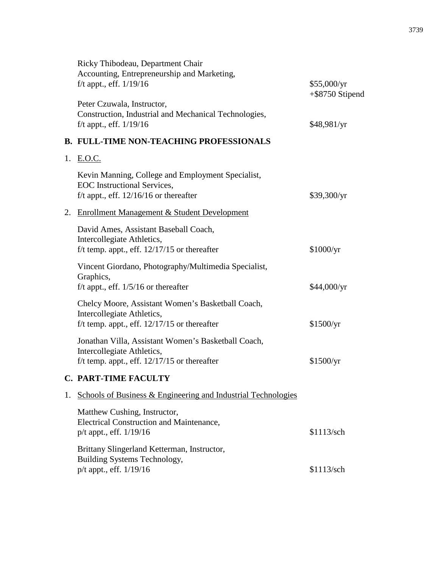|    | Ricky Thibodeau, Department Chair<br>Accounting, Entrepreneurship and Marketing,<br>f/t appt., eff. $1/19/16$                       | \$55,000/yr<br>$+$ \$8750 Stipend |
|----|-------------------------------------------------------------------------------------------------------------------------------------|-----------------------------------|
|    | Peter Czuwala, Instructor,<br>Construction, Industrial and Mechanical Technologies,<br>f/t appt., eff. $1/19/16$                    | \$48,981/yr                       |
|    | <b>B. FULL-TIME NON-TEACHING PROFESSIONALS</b>                                                                                      |                                   |
|    | 1. E.O.C.                                                                                                                           |                                   |
|    | Kevin Manning, College and Employment Specialist,<br><b>EOC</b> Instructional Services,<br>f/t appt., eff. $12/16/16$ or thereafter | \$39,300/yr                       |
|    | 2. Enrollment Management & Student Development                                                                                      |                                   |
|    | David Ames, Assistant Baseball Coach,<br>Intercollegiate Athletics,<br>f/t temp. appt., eff. $12/17/15$ or thereafter               | \$1000/yr                         |
|    | Vincent Giordano, Photography/Multimedia Specialist,<br>Graphics,<br>f/t appt., eff. $1/5/16$ or thereafter                         | \$44,000/yr                       |
|    | Chelcy Moore, Assistant Women's Basketball Coach,<br>Intercollegiate Athletics,<br>f/t temp. appt., eff. $12/17/15$ or thereafter   | \$1500/yr                         |
|    | Jonathan Villa, Assistant Women's Basketball Coach,<br>Intercollegiate Athletics,<br>f/t temp. appt., eff. $12/17/15$ or thereafter | \$1500/yr                         |
|    | <b>C. PART-TIME FACULTY</b>                                                                                                         |                                   |
| 1. | <b>Schools of Business &amp; Engineering and Industrial Technologies</b>                                                            |                                   |
|    | Matthew Cushing, Instructor,<br><b>Electrical Construction and Maintenance,</b><br>p/t appt., eff. 1/19/16                          | \$1113/sch                        |
|    | Brittany Slingerland Ketterman, Instructor,<br>Building Systems Technology,<br>p/t appt., eff. 1/19/16                              | \$1113/sch                        |
|    |                                                                                                                                     |                                   |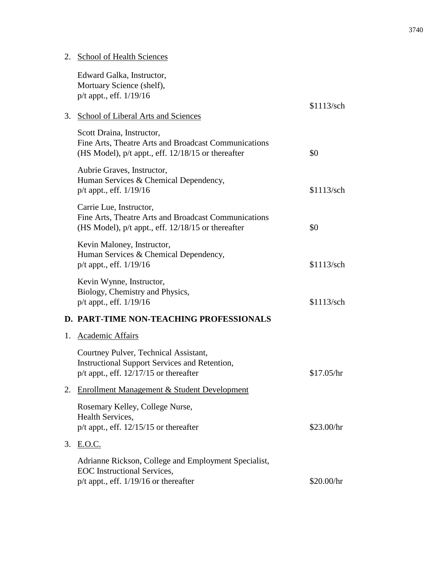# 2. School of Health Sciences

|    | Edward Galka, Instructor,<br>Mortuary Science (shelf),                                                                                      |            |
|----|---------------------------------------------------------------------------------------------------------------------------------------------|------------|
|    | p/t appt., eff. 1/19/16                                                                                                                     |            |
| 3. | School of Liberal Arts and Sciences                                                                                                         | \$1113/sch |
|    | Scott Draina, Instructor,<br>Fine Arts, Theatre Arts and Broadcast Communications<br>(HS Model), $p/t$ appt., eff. $12/18/15$ or thereafter | \$0        |
|    | Aubrie Graves, Instructor,<br>Human Services & Chemical Dependency,<br>p/t appt., eff. 1/19/16                                              | \$1113/sch |
|    | Carrie Lue, Instructor,<br>Fine Arts, Theatre Arts and Broadcast Communications<br>(HS Model), $p/t$ appt., eff. $12/18/15$ or thereafter   | \$0        |
|    | Kevin Maloney, Instructor,<br>Human Services & Chemical Dependency,<br>p/t appt., eff. 1/19/16                                              | \$1113/sch |
|    | Kevin Wynne, Instructor,<br>Biology, Chemistry and Physics,<br>$p/t$ appt., eff. $1/19/16$                                                  | \$1113/sch |
|    | D. PART-TIME NON-TEACHING PROFESSIONALS                                                                                                     |            |
| 1. | <b>Academic Affairs</b>                                                                                                                     |            |
|    | Courtney Pulver, Technical Assistant,<br><b>Instructional Support Services and Retention,</b><br>$p/t$ appt., eff. 12/17/15 or thereafter   | \$17.05/hr |
| 2. | Enrollment Management & Student Development                                                                                                 |            |
|    | Rosemary Kelley, College Nurse,<br>Health Services,<br>$p/t$ appt., eff. 12/15/15 or thereafter                                             | \$23.00/hr |
| 3. | E.O.C.                                                                                                                                      |            |
|    | Adrianne Rickson, College and Employment Specialist,<br><b>EOC</b> Instructional Services,<br>$p/t$ appt., eff. $1/19/16$ or thereafter     | \$20.00/hr |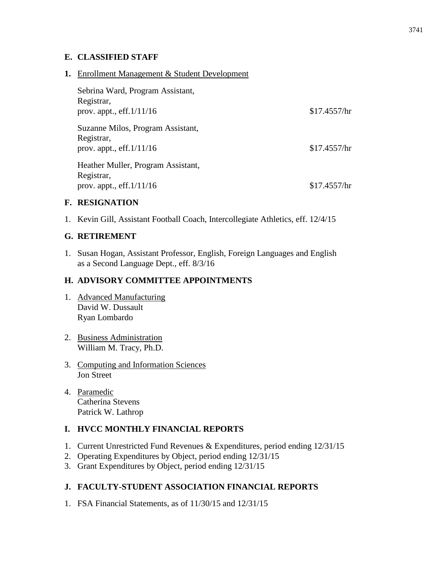# **E. CLASSIFIED STAFF**

# **1.** Enrollment Management & Student Development

| Sebrina Ward, Program Assistant,<br>Registrar,<br>prov. appt., $eff.1/11/16$   | \$17.4557/hr |
|--------------------------------------------------------------------------------|--------------|
| Suzanne Milos, Program Assistant,<br>Registrar,<br>prov. appt., eff. $1/11/16$ | \$17.4557/hr |
| Heather Muller, Program Assistant,<br>Registrar,<br>prov. appt., $eff.1/11/16$ | \$17.4557/hr |

# **F. RESIGNATION**

1. Kevin Gill, Assistant Football Coach, Intercollegiate Athletics, eff. 12/4/15

# **G. RETIREMENT**

1. Susan Hogan, Assistant Professor, English, Foreign Languages and English as a Second Language Dept., eff. 8/3/16

# **H. ADVISORY COMMITTEE APPOINTMENTS**

- 1. Advanced Manufacturing David W. Dussault Ryan Lombardo
- 2. Business Administration William M. Tracy, Ph.D.
- 3. Computing and Information Sciences Jon Street
- 4. Paramedic Catherina Stevens Patrick W. Lathrop

# **I. HVCC MONTHLY FINANCIAL REPORTS**

- 1. Current Unrestricted Fund Revenues & Expenditures, period ending 12/31/15
- 2. Operating Expenditures by Object, period ending 12/31/15
- 3. Grant Expenditures by Object, period ending 12/31/15

# **J. FACULTY-STUDENT ASSOCIATION FINANCIAL REPORTS**

1. FSA Financial Statements, as of 11/30/15 and 12/31/15